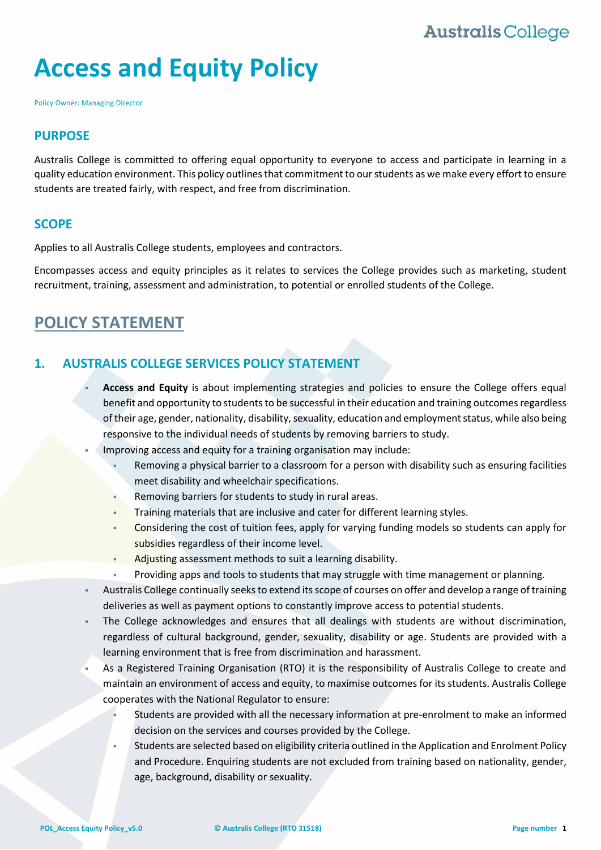# **Access and Equity Policy**

Policy Owner: Managing Director

#### **PURPOSE**

Australis College is committed to offering equal opportunity to everyone to access and participate in learning in a quality education environment. This policy outlines that commitment to our students as we make every effort to ensure students are treated fairly, with respect, and free from discrimination.

#### **SCOPE**

Applies to all Australis College students, employees and contractors.

Encompasses access and equity principles as it relates to services the College provides such as marketing, student recruitment, training, assessment and administration, to potential or enrolled students of the College.

### **POLICY STATEMENT**

#### **1. AUSTRALIS COLLEGE SERVICES POLICY STATEMENT**

- **Access and Equity** is about implementing strategies and policies to ensure the College offers equal benefit and opportunity to students to be successful in their education and training outcomes regardless of their age, gender, nationality, disability, sexuality, education and employment status, while also being responsive to the individual needs of students by removing barriers to study.
- Improving access and equity for a training organisation may include:
	- Removing a physical barrier to a classroom for a person with disability such as ensuring facilities meet disability and wheelchair specifications.
	- Removing barriers for students to study in rural areas.
	- Training materials that are inclusive and cater for different learning styles.
	- Considering the cost of tuition fees, apply for varying funding models so students can apply for subsidies regardless of their income level.
	- Adjusting assessment methods to suit a learning disability.
	- **Providing apps and tools to students that may struggle with time management or planning.**
- Australis College continually seeks to extend its scope of courses on offer and develop a range of training deliveries as well as payment options to constantly improve access to potential students.
- The College acknowledges and ensures that all dealings with students are without discrimination, regardless of cultural background, gender, sexuality, disability or age. Students are provided with a learning environment that is free from discrimination and harassment.
- As a Registered Training Organisation (RTO) it is the responsibility of Australis College to create and maintain an environment of access and equity, to maximise outcomes for its students. Australis College cooperates with the National Regulator to ensure:
	- Students are provided with all the necessary information at pre-enrolment to make an informed decision on the services and courses provided by the College.
	- Students are selected based on eligibility criteria outlined in the Application and Enrolment Policy and Procedure. Enquiring students are not excluded from training based on nationality, gender, age, background, disability or sexuality.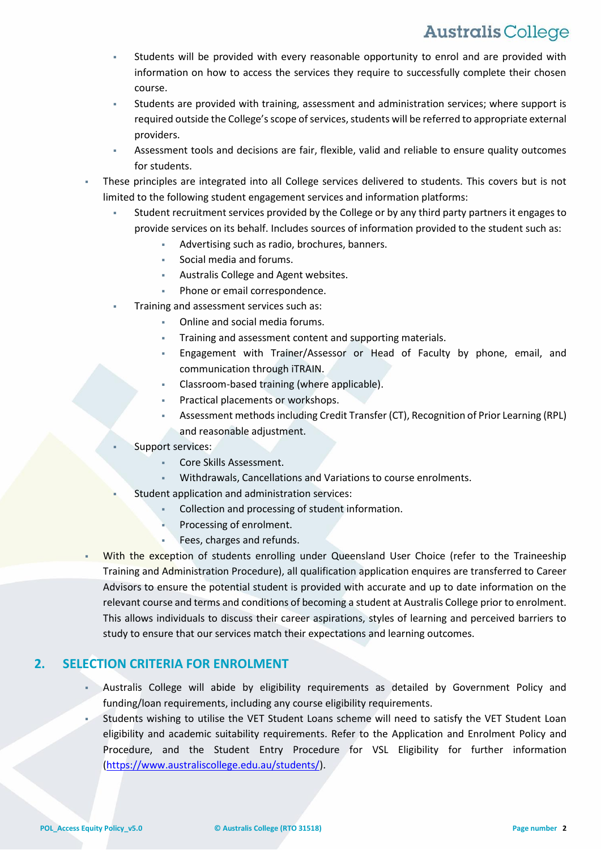- Students will be provided with every reasonable opportunity to enrol and are provided with information on how to access the services they require to successfully complete their chosen course.
- Students are provided with training, assessment and administration services; where support is required outside the College's scope of services, students will be referred to appropriate external providers.
- Assessment tools and decisions are fair, flexible, valid and reliable to ensure quality outcomes for students.
- These principles are integrated into all College services delivered to students. This covers but is not limited to the following student engagement services and information platforms:
	- Student recruitment services provided by the College or by any third party partners it engages to provide services on its behalf. Includes sources of information provided to the student such as:
		- Advertising such as radio, brochures, banners.
			- Social media and forums.
		- Australis College and Agent websites.
		- Phone or email correspondence.
	- Training and assessment services such as:
		- Online and social media forums.
		- Training and assessment content and supporting materials.
		- Engagement with Trainer/Assessor or Head of Faculty by phone, email, and communication through iTRAIN.
		- Classroom-based training (where applicable).
		- Practical placements or workshops.
		- Assessment methods including Credit Transfer (CT), Recognition of Prior Learning (RPL) and reasonable adjustment.
	- Support services:
		- Core Skills Assessment.
		- Withdrawals, Cancellations and Variations to course enrolments.
		- Student application and administration services:
			- Collection and processing of student information.
			- Processing of enrolment.
			- Fees, charges and refunds.
- With the exception of students enrolling under Queensland User Choice (refer to the Traineeship Training and Administration Procedure), all qualification application enquires are transferred to Career Advisors to ensure the potential student is provided with accurate and up to date information on the relevant course and terms and conditions of becoming a student at Australis College prior to enrolment. This allows individuals to discuss their career aspirations, styles of learning and perceived barriers to study to ensure that our services match their expectations and learning outcomes.

#### **2. SELECTION CRITERIA FOR ENROLMENT**

- Australis College will abide by eligibility requirements as detailed by Government Policy and funding/loan requirements, including any course eligibility requirements.
- Students wishing to utilise the VET Student Loans scheme will need to satisfy the VET Student Loan eligibility and academic suitability requirements. Refer to the Application and Enrolment Policy and Procedure, and the Student Entry Procedure for VSL Eligibility for further information [\(https://www.australiscollege.edu.au/students/\)](https://www.australiscollege.edu.au/students/).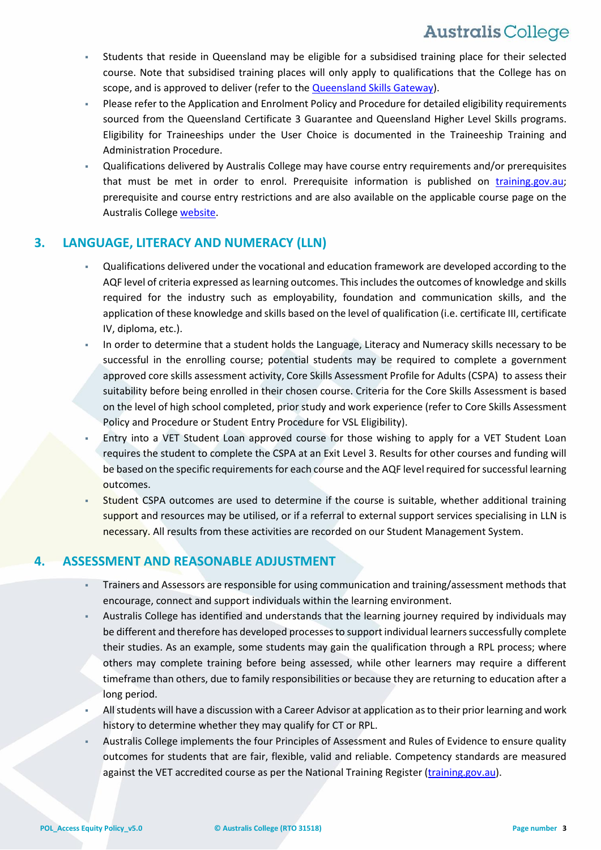- Students that reside in Queensland may be eligible for a subsidised training place for their selected course. Note that subsidised training places will only apply to qualifications that the College has on scope, and is approved to deliver (refer to the [Queensland Skills Gateway\)](http://www.skillsgateway.training.qld.gov.au/).
- Please refer to the Application and Enrolment Policy and Procedure for detailed eligibility requirements sourced from the Queensland Certificate 3 Guarantee and Queensland Higher Level Skills programs. Eligibility for Traineeships under the [User](https://training.qld.gov.au/site/providers/Documents/pqs/become/user-choice-policy.pdf) Choice is documented in the Traineeship Training and Administration Procedure.
- Qualifications delivered by Australis College may have course entry requirements and/or prerequisites that must be met in order to enrol. Prerequisite information is published on [training.gov.au;](http://training.gov.au/) prerequisite and course entry restrictions and are also available on the applicable course page on the Australis Colleg[e website.](file://///fileserver01/CompanyShares/POLICIES%20&%20PROCEDURES/TRAINING%20AND%20ADMINISTRATION/TRAINING%20AND%20ADMINISTRATION%20POLICIES/MASTER%20DOCUMENT/australiscollege.edu.au/courses/)

#### **3. LANGUAGE, LITERACY AND NUMERACY (LLN)**

- Qualifications delivered under the vocational and education framework are developed according to the AQF level of criteria expressed as learning outcomes. This includes the outcomes of knowledge and skills required for the industry such as employability, foundation and communication skills, and the application of these knowledge and skills based on the level of qualification (i.e. certificate III, certificate IV, diploma, etc.).
- In order to determine that a student holds the Language, Literacy and Numeracy skills necessary to be successful in the enrolling course; potential students may be required to complete a government approved core skills assessment activity, Core Skills Assessment Profile for Adults (CSPA) to assess their suitability before being enrolled in their chosen course. Criteria for the Core Skills Assessment is based on the level of high school completed, prior study and work experience (refer to Core Skills Assessment Policy and Procedure or Student Entry Procedure for VSL Eligibility).
- Entry into a VET Student Loan approved course for those wishing to apply for a VET Student Loan requires the student to complete the CSPA at an Exit Level 3. Results for other courses and funding will be based on the specific requirements for each course and the AQF level required for successful learning outcomes.
- Student CSPA outcomes are used to determine if the course is suitable, whether additional training support and resources may be utilised, or if a referral to external support services specialising in LLN is necessary. All results from these activities are recorded on our Student Management System.

#### **4. ASSESSMENT AND REASONABLE ADJUSTMENT**

- Trainers and Assessors are responsible for using communication and training/assessment methods that encourage, connect and support individuals within the learning environment.
- Australis College has identified and understands that the learning journey required by individuals may be different and therefore has developed processes to support individual learners successfully complete their studies. As an example, some students may gain the qualification through a RPL process; where others may complete training before being assessed, while other learners may require a different timeframe than others, due to family responsibilities or because they are returning to education after a long period.
- All students will have a discussion with a Career Advisor at application as to their prior learning and work history to determine whether they may qualify for CT or RPL.
- Australis College implements the four Principles of Assessment and Rules of Evidence to ensure quality outcomes for students that are fair, flexible, valid and reliable. Competency standards are measured against the VET accredited course as per the National Training Register [\(training.gov.au\)](http://training.gov.au/Home/Tga).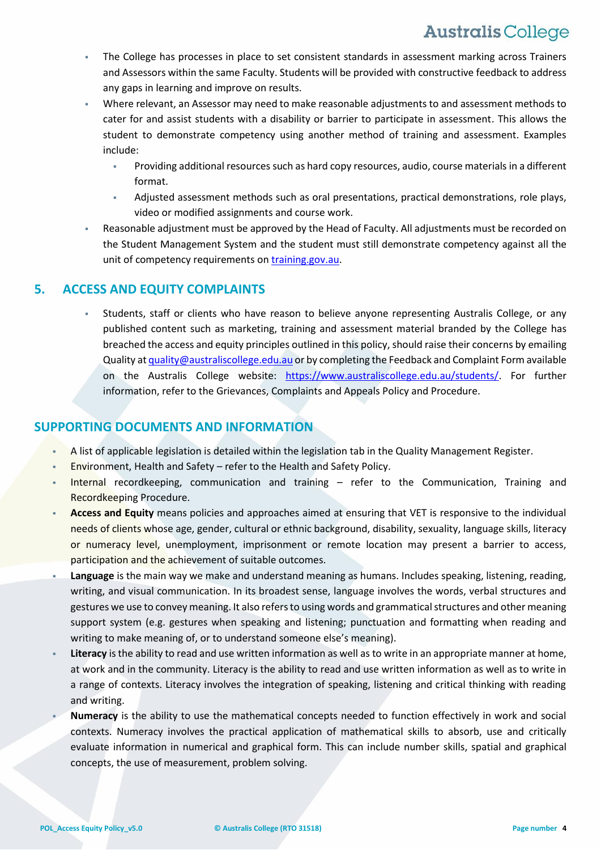- The College has processes in place to set consistent standards in assessment marking across Trainers and Assessors within the same Faculty. Students will be provided with constructive feedback to address any gaps in learning and improve on results.
- Where relevant, an Assessor may need to make reasonable adjustments to and assessment methods to cater for and assist students with a disability or barrier to participate in assessment. This allows the student to demonstrate competency using another method of training and assessment. Examples include:
	- Providing additional resources such as hard copy resources, audio, course materials in a different format.
	- Adjusted assessment methods such as oral presentations, practical demonstrations, role plays, video or modified assignments and course work.
- Reasonable adjustment must be approved by the Head of Faculty. All adjustments must be recorded on the Student Management System and the student must still demonstrate competency against all the unit of competency requirements on [training.gov.au.](http://training.gov.au/Home/Tga)

#### **5. ACCESS AND EQUITY COMPLAINTS**

 Students, staff or clients who have reason to believe anyone representing Australis College, or any published content such as marketing, training and assessment material branded by the College has breached the access and equity principles outlined in this policy, should raise their concerns by emailing Quality a[t quality@australiscollege.edu.au](mailto:quality@australiscollege.edu.au) or by completing the Feedback and Complaint Form available on the Australis College website: [https://www.australiscollege.edu.au/students/.](https://www.australiscollege.edu.au/students/) For further information, refer to the Grievances, Complaints and Appeals Policy and Procedure.

#### **SUPPORTING DOCUMENTS AND INFORMATION**

- A list of applicable legislation is detailed within the legislation tab in the Quality Management Register.
- Environment, Health and Safety refer to the Health and Safety Policy.
- Internal recordkeeping, communication and training refer to the Communication, Training and Recordkeeping Procedure.
- **Access and Equity** means policies and approaches aimed at ensuring that VET is responsive to the individual needs of clients whose age, gender, cultural or ethnic background, disability, sexuality, language skills, literacy or numeracy level, unemployment, imprisonment or remote location may present a barrier to access, participation and the achievement of suitable outcomes.
- **Language** is the main way we make and understand meaning as humans. Includes speaking, listening, reading, writing, and visual communication. In its broadest sense, language involves the words, verbal structures and gestures we use to convey meaning. It also refers to using words and grammatical structures and other meaning support system (e.g. gestures when speaking and listening; punctuation and formatting when reading and writing to make meaning of, or to understand someone else's meaning).
- **Literacy** is the ability to read and use written information as well as to write in an appropriate manner at home, at work and in the community. Literacy is the ability to read and use written information as well as to write in a range of contexts. Literacy involves the integration of speaking, listening and critical thinking with reading and writing.
- **Numeracy** is the ability to use the mathematical concepts needed to function effectively in work and social contexts. Numeracy involves the practical application of mathematical skills to absorb, use and critically evaluate information in numerical and graphical form. This can include number skills, spatial and graphical concepts, the use of measurement, problem solving.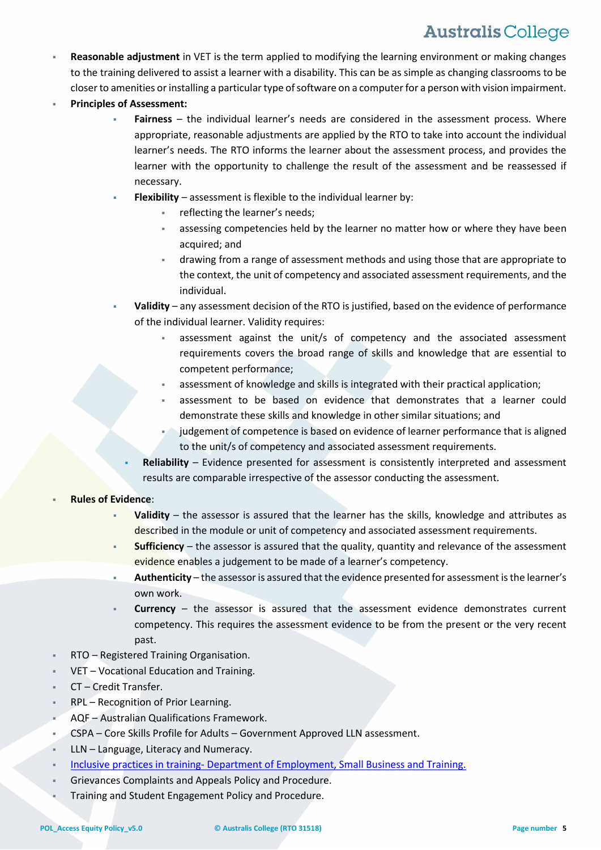- **Reasonable adjustment** in VET is the term applied to modifying the learning environment or making changes to the training delivered to assist a learner with a disability. This can be as simple as changing classrooms to be closer to amenities or installing a particular type of software on a computer for a person with vision impairment.
- **Principles of Assessment:**
	- **Fairness** the individual learner's needs are considered in the assessment process. Where appropriate, reasonable adjustments are applied by the RTO to take into account the individual learner's needs. The RTO informs the learner about the assessment process, and provides the learner with the opportunity to challenge the result of the assessment and be reassessed if necessary.
	- **Flexibility** assessment is flexible to the individual learner by:
		- reflecting the learner's needs;
		- assessing competencies held by the learner no matter how or where they have been acquired; and
		- drawing from a range of assessment methods and using those that are appropriate to the context, the unit of competency and associated assessment requirements, and the individual.
	- **Validity** any assessment decision of the RTO is justified, based on the evidence of performance of the individual learner. Validity requires:
		- assessment against the unit/s of competency and the associated assessment requirements covers the broad range of skills and knowledge that are essential to competent performance;
		- assessment of knowledge and skills is integrated with their practical application;
		- assessment to be based on evidence that demonstrates that a learner could demonstrate these skills and knowledge in other similar situations; and
		- judgement of competence is based on evidence of learner performance that is aligned to the unit/s of competency and associated assessment requirements.
		- **Reliability** Evidence presented for assessment is consistently interpreted and assessment results are comparable irrespective of the assessor conducting the assessment.
- **Rules of Evidence**:
	- **Validity** the assessor is assured that the learner has the skills, knowledge and attributes as described in the module or unit of competency and associated assessment requirements.
	- **Sufficiency** the assessor is assured that the quality, quantity and relevance of the assessment evidence enables a judgement to be made of a learner's competency.
	- **Authenticity** the assessor is assured that the evidence presented for assessment is the learner's own work.
	- **Currency** the assessor is assured that the assessment evidence demonstrates current competency. This requires the assessment evidence to be from the present or the very recent past.
- RTO Registered Training Organisation.
- VET Vocational Education and Training.
- CT Credit Transfer.
- RPL Recognition of Prior Learning.
- AQF Australian Qualifications Framework.
- CSPA Core Skills Profile for Adults Government Approved LLN assessment.
- LLN Language, Literacy and Numeracy.
- Inclusive practices in training- [Department of Employment, Small Business and Training.](https://desbt.qld.gov.au/training/providers/inclusive)
- Grievances Complaints and Appeals Policy and Procedure.
- Training and Student Engagement Policy and Procedure.